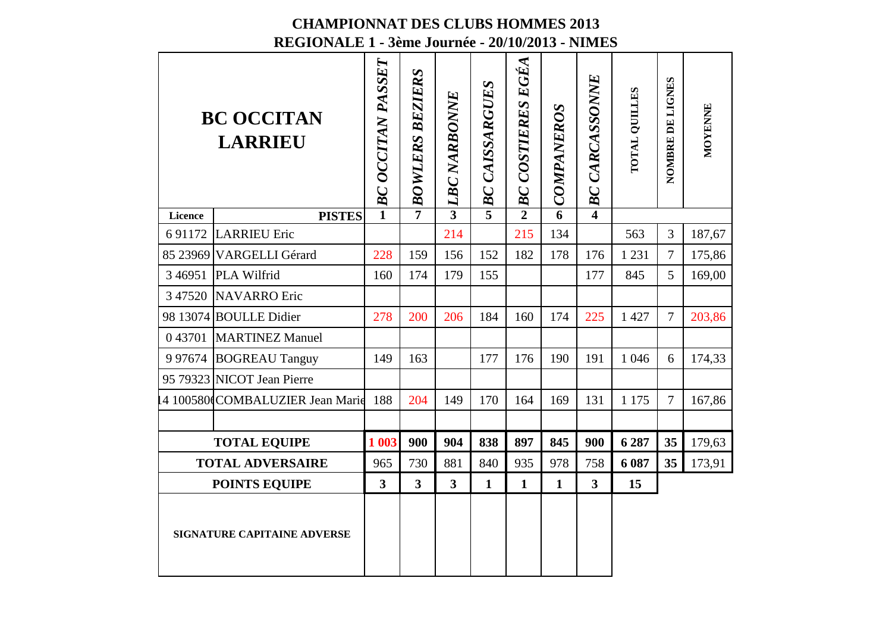|                                    | <b>BC OCCITAN</b><br><b>LARRIEU</b> | BC OCCITAN PASSET | <b>BOWLERS BEZIERS</b>  | <b>LBC NARBONNE</b> | <b>CAISSARGUES</b><br>BC | $\sim$ $BC$ COSTIERES EGEA | <b>COMPANEROS</b> | <b>CARCASSONNE</b><br>BC | TOTAL QUILLES | NOMBRE DE LIGNES | MOYENNE |
|------------------------------------|-------------------------------------|-------------------|-------------------------|---------------------|--------------------------|----------------------------|-------------------|--------------------------|---------------|------------------|---------|
| Licence                            | <b>PISTES</b>                       | $\mathbf{1}$      | $\overline{7}$          | $\overline{3}$      | $\overline{5}$           |                            | $\overline{6}$    | $\overline{\mathbf{4}}$  |               |                  |         |
| 6 9 1 1 7 2                        | <b>LARRIEU Eric</b>                 |                   |                         | 214                 |                          | 215                        | 134               |                          | 563           | 3                | 187,67  |
|                                    | 85 23969 VARGELLI Gérard            | 228               | 159                     | 156                 | 152                      | 182                        | 178               | 176                      | 1 2 3 1       | $\overline{7}$   | 175,86  |
| 3 4 6 9 5 1                        | <b>PLA Wilfrid</b>                  | 160               | 174                     | 179                 | 155                      |                            |                   | 177                      | 845           | 5                | 169,00  |
|                                    | 3 47520 NAVARRO Eric                |                   |                         |                     |                          |                            |                   |                          |               |                  |         |
|                                    | 98 13074 BOULLE Didier              | 278               | 200                     | 206                 | 184                      | 160                        | 174               | 225                      | 1 4 2 7       | $\overline{7}$   | 203,86  |
|                                    | 0 43701 MARTINEZ Manuel             |                   |                         |                     |                          |                            |                   |                          |               |                  |         |
|                                    | 9 97674 BOGREAU Tanguy              | 149               | 163                     |                     | 177                      | 176                        | 190               | 191                      | 1 0 4 6       | 6                | 174,33  |
|                                    | 95 79323 NICOT Jean Pierre          |                   |                         |                     |                          |                            |                   |                          |               |                  |         |
|                                    | 4 100580 COMBALUZIER Jean Marie     | 188               | 204                     | 149                 | 170                      | 164                        | 169               | 131                      | 1 1 7 5       | $\overline{7}$   | 167,86  |
|                                    |                                     |                   |                         |                     |                          |                            |                   |                          |               |                  |         |
|                                    | <b>TOTAL EQUIPE</b>                 | 1 003             | 900                     | 904                 | 838                      | 897                        | 845               | 900                      | 6 287         | 35               | 179,63  |
|                                    | <b>TOTAL ADVERSAIRE</b>             | 965               | 730                     | 881                 | 840                      | 935                        | 978               | 758                      | 6 0 8 7       | 35               | 173,91  |
| <b>POINTS EQUIPE</b>               |                                     | 3                 | $\overline{\mathbf{3}}$ | $\overline{3}$      | $\mathbf{1}$             | $\mathbf{1}$               | $\mathbf{1}$      | $\overline{\mathbf{3}}$  | 15            |                  |         |
| <b>SIGNATURE CAPITAINE ADVERSE</b> |                                     |                   |                         |                     |                          |                            |                   |                          |               |                  |         |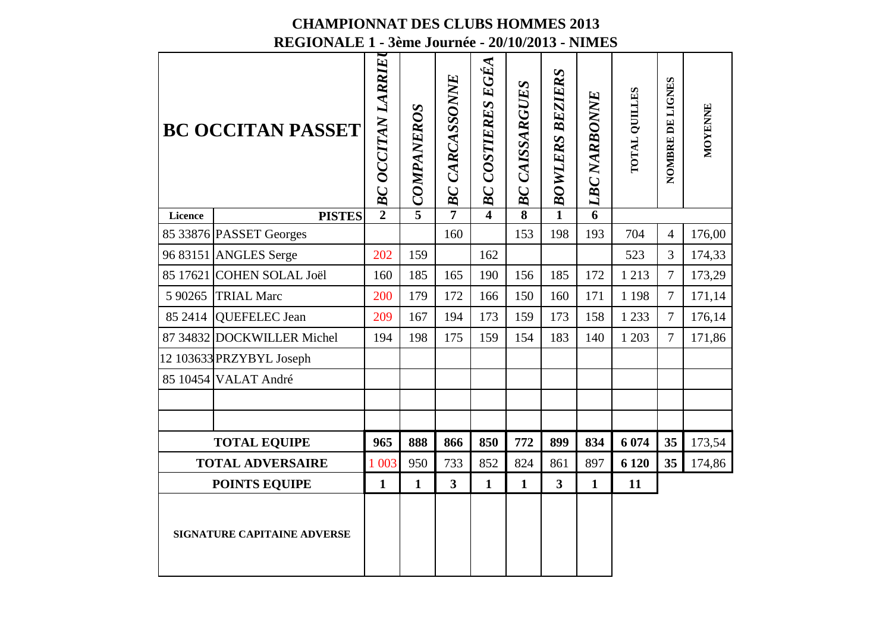# **CHAMPIONNAT DES CLUBS HOMMES 2013**

|                             | REGIONALE 1 - 3ème Journée - 20/10/2013 - NIMES |                   |              |                       |                          |                         |                         |                     |               |                  |         |  |  |
|-----------------------------|-------------------------------------------------|-------------------|--------------|-----------------------|--------------------------|-------------------------|-------------------------|---------------------|---------------|------------------|---------|--|--|
| <b>BC OCCITAN PASSET</b>    |                                                 | BC OCCITAN LARRIE | JCOMPANEROS  | <b>BC CARCASSONNE</b> | <b>BC COSTIERES EGÉA</b> | <b>BC CAISSARGUES</b>   | <b>BOWLERS BEZIERS</b>  | <b>LBC NARBONNE</b> | TOTAL QUILLES | NOMBRE DE LIGNES | MOYENNE |  |  |
| Licence                     | <b>PISTES</b>                                   | $\overline{2}$    |              | $\overline{7}$        | 4                        | $\overline{\mathbf{8}}$ | $\overline{1}$          | $\overline{6}$      |               |                  |         |  |  |
|                             | 85 33876 PASSET Georges                         |                   |              | 160                   |                          | 153                     | 198                     | 193                 | 704           | $\overline{4}$   | 176,00  |  |  |
|                             | 96 83151 ANGLES Serge                           | 202               | 159          |                       | 162                      |                         |                         |                     | 523           | $\overline{3}$   | 174,33  |  |  |
|                             | 85 17621 COHEN SOLAL Joël                       | 160               | 185          | 165                   | 190                      | 156                     | 185                     | 172                 | 1 2 1 3       | $\overline{7}$   | 173,29  |  |  |
| 5 90265                     | <b>TRIAL Marc</b>                               | 200               | 179          | 172                   | 166                      | 150                     | 160                     | 171                 | 1 1 9 8       | $\overline{7}$   | 171,14  |  |  |
|                             | 85 2414 QUEFELEC Jean                           | 209               | 167          | 194                   | 173                      | 159                     | 173                     | 158                 | 1 2 3 3       | $\overline{7}$   | 176,14  |  |  |
|                             | 87 34832 DOCKWILLER Michel                      | 194               | 198          | 175                   | 159                      | 154                     | 183                     | 140                 | 1 203         | $\overline{7}$   | 171,86  |  |  |
|                             | 12 103633 PRZYBYL Joseph                        |                   |              |                       |                          |                         |                         |                     |               |                  |         |  |  |
|                             | 85 10454 VALAT André                            |                   |              |                       |                          |                         |                         |                     |               |                  |         |  |  |
|                             |                                                 |                   |              |                       |                          |                         |                         |                     |               |                  |         |  |  |
|                             |                                                 |                   |              |                       |                          |                         |                         |                     |               |                  |         |  |  |
|                             | <b>TOTAL EQUIPE</b>                             | 965               | 888          | 866                   | 850                      | 772                     | 899                     | 834                 | 6 0 74        | 35               | 173,54  |  |  |
|                             | <b>TOTAL ADVERSAIRE</b>                         | 1 0 0 3           | 950          | 733                   | 852                      | 824                     | 861                     | 897                 | 6 1 20        | 35 <sup>5</sup>  | 174,86  |  |  |
| <b>POINTS EQUIPE</b>        |                                                 | 1                 | $\mathbf{1}$ | $\mathbf{3}$          | $\mathbf{1}$             | $\mathbf{1}$            | $\overline{\mathbf{3}}$ | $\mathbf{1}$        | 11            |                  |         |  |  |
| SIGNATURE CAPITAINE ADVERSE |                                                 |                   |              |                       |                          |                         |                         |                     |               |                  |         |  |  |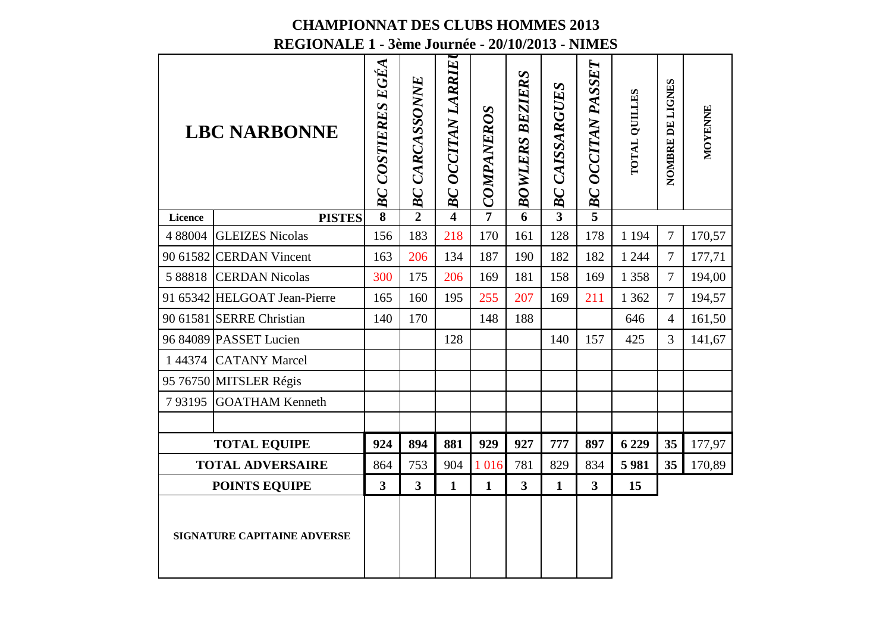| <b>LBC NARBONNE</b>         |                              | BC COSTIERES EGÉA       | BC CARCASSONNE          | <b>BC OCCITAN LARRIE</b> | COMPANEROS     | <b>BOWLERS BEZIERS</b>  | <b>BC CAISSARGUES</b> | OCCITAN PASSET<br>BC    | TOTAL QUILLES | NOMBRE DE LIGNES | MOYENNE |
|-----------------------------|------------------------------|-------------------------|-------------------------|--------------------------|----------------|-------------------------|-----------------------|-------------------------|---------------|------------------|---------|
| Licence                     | <b>PISTES</b>                | $\overline{\mathbf{8}}$ | $\overline{2}$          | $\overline{\mathbf{4}}$  | $\overline{7}$ | $\overline{6}$          | $\overline{3}$        | $\overline{5}$          |               |                  |         |
|                             | 4 88004 GLEIZES Nicolas      | 156                     | 183                     | 218                      | 170            | 161                     | 128                   | 178                     | 1 1 9 4       | $\overline{7}$   | 170,57  |
|                             | 90 61582 CERDAN Vincent      | 163                     | 206                     | 134                      | 187            | 190                     | 182                   | 182                     | 1 2 4 4       | $\overline{7}$   | 177,71  |
|                             | 5 88818 CERDAN Nicolas       | 300                     | 175                     | 206                      | 169            | 181                     | 158                   | 169                     | 1 3 5 8       | $\overline{7}$   | 194,00  |
|                             | 91 65342 HELGOAT Jean-Pierre | 165                     | 160                     | 195                      | 255            | 207                     | 169                   | 211                     | 1 3 6 2       | $\overline{7}$   | 194,57  |
|                             | 90 61581 SERRE Christian     | 140                     | 170                     |                          | 148            | 188                     |                       |                         | 646           | $\overline{4}$   | 161,50  |
|                             | 96 84089 PASSET Lucien       |                         |                         | 128                      |                |                         | 140                   | 157                     | 425           | 3                | 141,67  |
|                             | 1 44374 CATANY Marcel        |                         |                         |                          |                |                         |                       |                         |               |                  |         |
|                             | 95 76750 MITSLER Régis       |                         |                         |                          |                |                         |                       |                         |               |                  |         |
| 793195                      | <b>GOATHAM Kenneth</b>       |                         |                         |                          |                |                         |                       |                         |               |                  |         |
|                             |                              |                         |                         |                          |                |                         |                       |                         |               |                  |         |
|                             | <b>TOTAL EQUIPE</b>          | 924                     | 894                     | 881                      | 929            | 927                     | 777                   | 897                     | 6 2 29        | 35               | 177,97  |
|                             | <b>TOTAL ADVERSAIRE</b>      | 864                     | 753                     | 904                      | 1 0 1 6        | 781                     | 829                   | 834                     | 5981          | 35               | 170,89  |
|                             | <b>POINTS EQUIPE</b>         | $\overline{\mathbf{3}}$ | $\overline{\mathbf{3}}$ | $\mathbf{1}$             | $\mathbf{1}$   | $\overline{\mathbf{3}}$ | $\mathbf{1}$          | $\overline{\mathbf{3}}$ | 15            |                  |         |
| SIGNATURE CAPITAINE ADVERSE |                              |                         |                         |                          |                |                         |                       |                         |               |                  |         |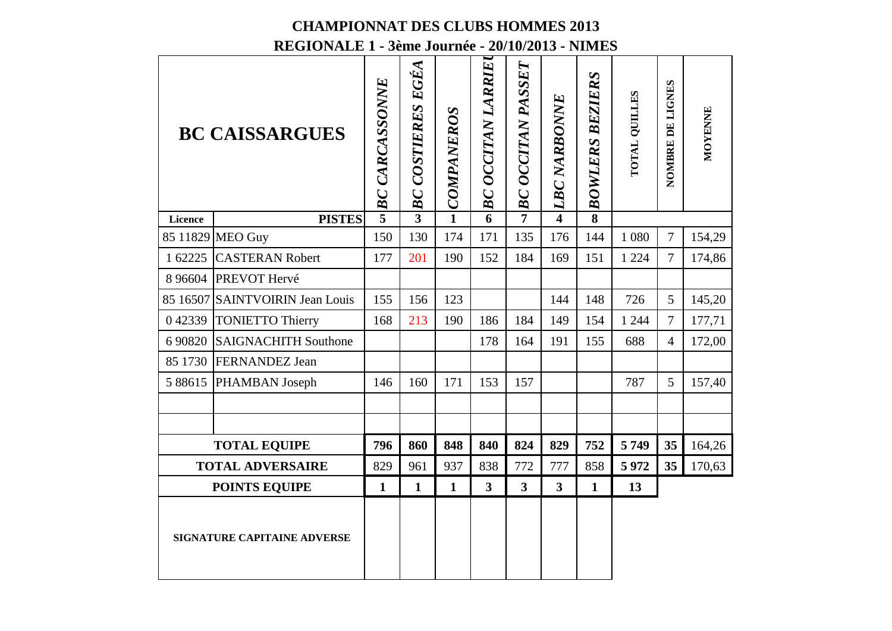## **CHAMPIONNAT DES CLUBS HOMMES 2013**

**REGIONALE 1 - 3ème Journée - 20/10/2013 - NIMES**

| <b>BC CAISSARGUES</b>       |                                 | <b>BC CARCASSONNE</b> | BC COSTIERES EGÉA | <b>COMPANEROS</b> | BC OCCITAN LARRIE | <b>BC OCCITAN PASSET</b> | <b>LBC NARBONNE</b>     | <b>BEZIERS</b><br><b>BOWLERS</b> | <b>TOTAL QUILLES</b> | NOMBRE DE LIGNES | MOYENNE |
|-----------------------------|---------------------------------|-----------------------|-------------------|-------------------|-------------------|--------------------------|-------------------------|----------------------------------|----------------------|------------------|---------|
| Licence                     | <b>PISTES</b>                   | $\overline{5}$        | $\overline{3}$    | $\mathbf{1}$      | 6                 | $\overline{7}$           | $\overline{\mathbf{4}}$ | $\overline{\mathbf{8}}$          |                      |                  |         |
|                             | 85 11829 MEO Guy                | 150                   | 130               | 174               | 171               | 135                      | 176                     | 144                              | 1 0 8 0              | $\overline{7}$   | 154,29  |
| 1 62225                     | <b>CASTERAN Robert</b>          | 177                   | 201               | 190               | 152               | 184                      | 169                     | 151                              | 1 2 2 4              | $\tau$           | 174,86  |
|                             | 8 96604 PREVOT Hervé            |                       |                   |                   |                   |                          |                         |                                  |                      |                  |         |
|                             | 85 16507 SAINTVOIRIN Jean Louis | 155                   | 156               | 123               |                   |                          | 144                     | 148                              | 726                  | 5                | 145,20  |
| 042339                      | <b>TONIETTO Thierry</b>         | 168                   | 213               | 190               | 186               | 184                      | 149                     | 154                              | 1 2 4 4              | $\overline{7}$   | 177,71  |
| 6 90820                     | <b>SAIGNACHITH Southone</b>     |                       |                   |                   | 178               | 164                      | 191                     | 155                              | 688                  | $\overline{4}$   | 172,00  |
|                             | 85 1730 FERNANDEZ Jean          |                       |                   |                   |                   |                          |                         |                                  |                      |                  |         |
| 5 8 8 6 1 5                 | PHAMBAN Joseph                  | 146                   | 160               | 171               | 153               | 157                      |                         |                                  | 787                  | 5                | 157,40  |
|                             |                                 |                       |                   |                   |                   |                          |                         |                                  |                      |                  |         |
|                             |                                 |                       |                   |                   |                   |                          |                         |                                  |                      |                  |         |
|                             | <b>TOTAL EQUIPE</b>             | 796                   | 860               | 848               | 840               | 824                      | 829                     | 752                              | 5749                 | 35               | 164,26  |
|                             | <b>TOTAL ADVERSAIRE</b>         | 829                   | 961               | 937               | 838               | 772                      | 777                     | 858                              | 5972                 | 35               | 170,63  |
| <b>POINTS EQUIPE</b>        |                                 | $\mathbf{1}$          | $\mathbf{1}$      | $\mathbf{1}$      | $\overline{3}$    | $\overline{\mathbf{3}}$  | $\overline{\mathbf{3}}$ | $\mathbf{1}$                     | 13                   |                  |         |
| SIGNATURE CAPITAINE ADVERSE |                                 |                       |                   |                   |                   |                          |                         |                                  |                      |                  |         |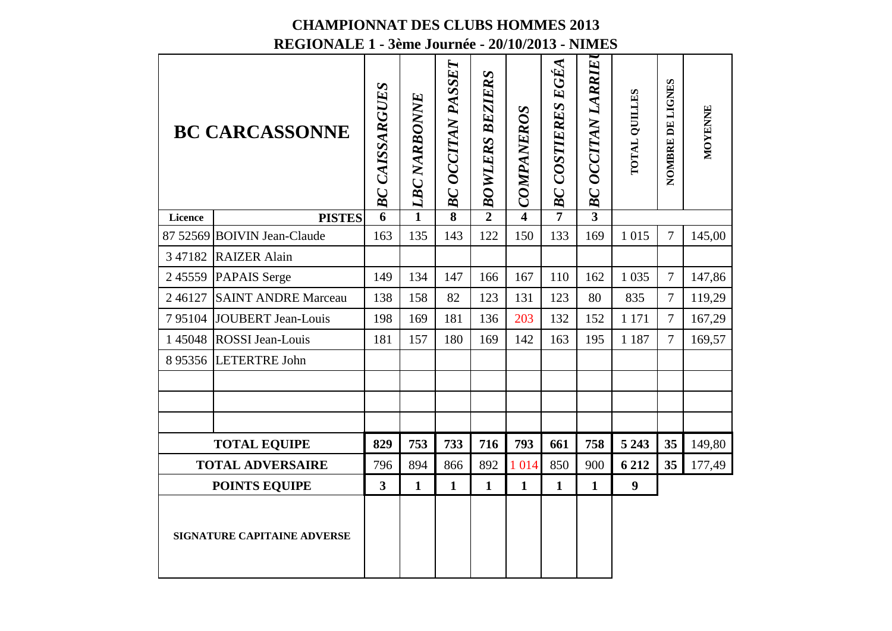| <b>BC CARCASSONNE</b>              |                             | <b>BC CAISSARGUES</b>   | <b>LBC NARBONNE</b> | <b>BC OCCITAN PASSET</b> | <b>BOWLERS BEZIERS</b> | COMPANEROS              | BC COSTIERES EGÉA | BC OCCITAN LARRIE | <b>TOTAL QUILLES</b> | NOMBRE DE LIGNES | MOYENNE |
|------------------------------------|-----------------------------|-------------------------|---------------------|--------------------------|------------------------|-------------------------|-------------------|-------------------|----------------------|------------------|---------|
| Licence                            | <b>PISTES</b>               | 6                       | $\mathbf{1}$        | 8                        | $\overline{2}$         | $\overline{\mathbf{4}}$ | $\overline{7}$    | $\overline{3}$    |                      |                  |         |
|                                    | 87 52569 BOIVIN Jean-Claude | 163                     | 135                 | 143                      | 122                    | 150                     | 133               | 169               | 1 0 1 5              | $\overline{7}$   | 145,00  |
|                                    | 3 47182 RAIZER Alain        |                         |                     |                          |                        |                         |                   |                   |                      |                  |         |
|                                    | 245559 PAPAIS Serge         | 149                     | 134                 | 147                      | 166                    | 167                     | 110               | 162               | 1 0 35               | $\overline{7}$   | 147,86  |
| 246127                             | <b>SAINT ANDRE Marceau</b>  | 138                     | 158                 | 82                       | 123                    | 131                     | 123               | 80                | 835                  | $\overline{7}$   | 119,29  |
| 795104                             | <b>JOUBERT Jean-Louis</b>   | 198                     | 169                 | 181                      | 136                    | 203                     | 132               | 152               | 1 1 7 1              | $\overline{7}$   | 167,29  |
|                                    | 1 45048 ROSSI Jean-Louis    | 181                     | 157                 | 180                      | 169                    | 142                     | 163               | 195               | 1 1 8 7              | $\overline{7}$   | 169,57  |
|                                    | 8 95356 LETERTRE John       |                         |                     |                          |                        |                         |                   |                   |                      |                  |         |
|                                    |                             |                         |                     |                          |                        |                         |                   |                   |                      |                  |         |
|                                    |                             |                         |                     |                          |                        |                         |                   |                   |                      |                  |         |
|                                    |                             |                         |                     |                          |                        |                         |                   |                   |                      |                  |         |
|                                    | <b>TOTAL EQUIPE</b>         | 829                     | 753                 | 733                      | 716                    | 793                     | 661               | 758               | 5 2 4 3              | 35               | 149,80  |
|                                    | <b>TOTAL ADVERSAIRE</b>     | 796                     | 894                 | 866                      | 892                    | 1 0 1 4                 | 850               | 900               | 6 2 1 2              | 35               | 177,49  |
| <b>POINTS EQUIPE</b>               |                             | $\overline{\mathbf{3}}$ | $\mathbf{1}$        | $\mathbf{1}$             | $\mathbf{1}$           | $\mathbf{1}$            | $\mathbf{1}$      | $\mathbf{1}$      | $\boldsymbol{9}$     |                  |         |
| <b>SIGNATURE CAPITAINE ADVERSE</b> |                             |                         |                     |                          |                        |                         |                   |                   |                      |                  |         |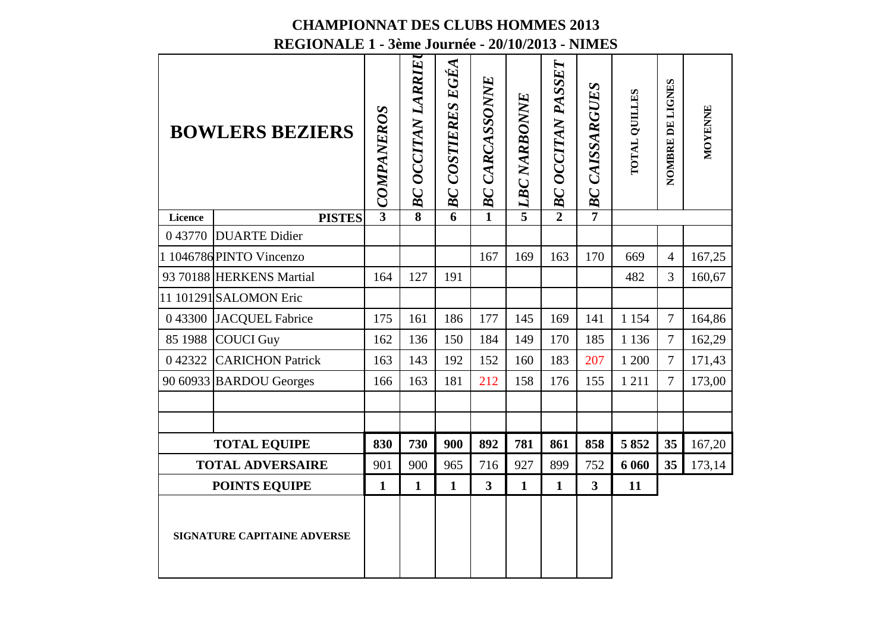| <b>BOWLERS BEZIERS</b>             |                          | COMPANEROS     | <b>BC OCCITAN LARRIE</b> | BC COSTIERES EGÉA | BC CARCASSONNE          | u LBC NARBONNE | <b>BC OCCITAN PASSET</b> | <b>CAISSARGUES</b><br>BC | TOTAL QUILLES | NOMBRE DE LIGNES | MOYENNE |
|------------------------------------|--------------------------|----------------|--------------------------|-------------------|-------------------------|----------------|--------------------------|--------------------------|---------------|------------------|---------|
| Licence                            | <b>PISTES</b>            | $\overline{3}$ | $\overline{\mathbf{8}}$  | 6                 | 1                       |                | $\overline{2}$           | $\overline{7}$           |               |                  |         |
|                                    | 043770 DUARTE Didier     |                |                          |                   |                         |                |                          |                          |               |                  |         |
|                                    | 1 1046786 PINTO Vincenzo |                |                          |                   | 167                     | 169            | 163                      | 170                      | 669           | $\overline{4}$   | 167,25  |
|                                    | 93 70188 HERKENS Martial | 164            | 127                      | 191               |                         |                |                          |                          | 482           | $\overline{3}$   | 160,67  |
|                                    | 11 101291 SALOMON Eric   |                |                          |                   |                         |                |                          |                          |               |                  |         |
|                                    | 0 43300 JACQUEL Fabrice  | 175            | 161                      | 186               | 177                     | 145            | 169                      | 141                      | 1 1 5 4       | $\overline{7}$   | 164,86  |
|                                    | 85 1988 COUCI Guy        | 162            | 136                      | 150               | 184                     | 149            | 170                      | 185                      | 1 1 3 6       | $\overline{7}$   | 162,29  |
| 042322                             | <b>CARICHON Patrick</b>  | 163            | 143                      | 192               | 152                     | 160            | 183                      | 207                      | 1 200         | 7                | 171,43  |
|                                    | 90 60933 BARDOU Georges  | 166            | 163                      | 181               | 212                     | 158            | 176                      | 155                      | 1 2 1 1       | $\overline{7}$   | 173,00  |
|                                    |                          |                |                          |                   |                         |                |                          |                          |               |                  |         |
|                                    |                          |                |                          |                   |                         |                |                          |                          |               |                  |         |
|                                    | <b>TOTAL EQUIPE</b>      | 830            | 730                      | 900               | 892                     | 781            | 861                      | 858                      | 5852          | 35               | 167,20  |
|                                    | <b>TOTAL ADVERSAIRE</b>  | 901            | 900                      | 965               | 716                     | 927            | 899                      | 752                      | 6 0 6 0       | 35               | 173,14  |
|                                    | <b>POINTS EQUIPE</b>     | $\mathbf{1}$   | $\mathbf{1}$             | $\mathbf{1}$      | $\overline{\mathbf{3}}$ | $\mathbf{1}$   | $\mathbf{1}$             | $\overline{\mathbf{3}}$  | 11            |                  |         |
| <b>SIGNATURE CAPITAINE ADVERSE</b> |                          |                |                          |                   |                         |                |                          |                          |               |                  |         |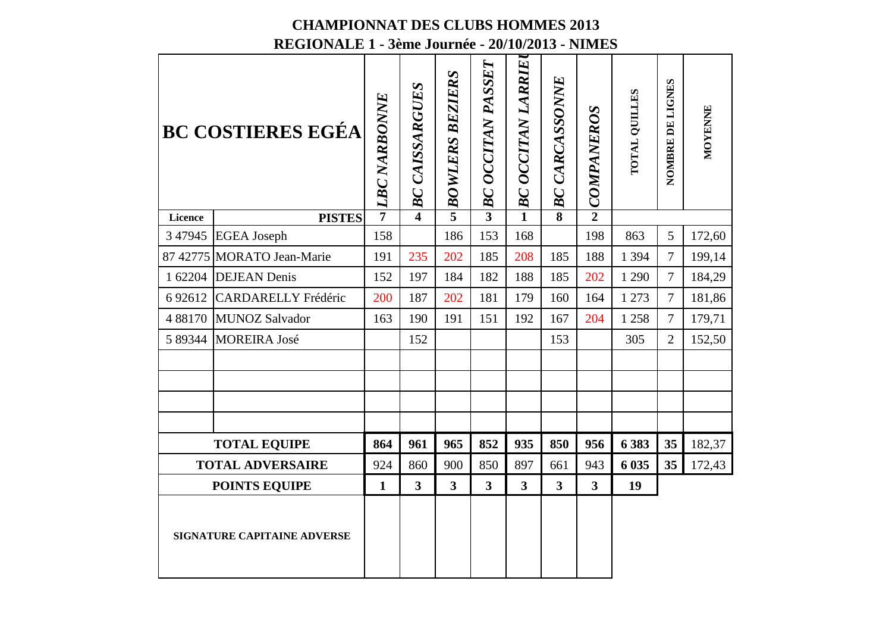|                             | <b>BC COSTIERES EGÉA</b>   | <b>LBC NARBONNE</b> | <b>BC CAISSARGUES</b>   | <b>BOWLERS BEZIERS</b> | <b>BC OCCITAN PASSET</b> | <b>BC OCCITAN LARRIE</b> | <b>BC CARCASSONNE</b>   | COMPANEROS              | TOTAL QUILLES | NOMBRE DE LIGNES | MOYENNE |
|-----------------------------|----------------------------|---------------------|-------------------------|------------------------|--------------------------|--------------------------|-------------------------|-------------------------|---------------|------------------|---------|
| Licence                     | <b>PISTES</b>              | $\overline{7}$      | $\overline{\bf{4}}$     | $\overline{5}$         | $\overline{3}$           | $\overline{1}$           | $\overline{\mathbf{8}}$ | $\overline{2}$          |               |                  |         |
| 3 4 7 9 4 5                 | <b>EGEA</b> Joseph         | 158                 |                         | 186                    | 153                      | 168                      |                         | 198                     | 863           | 5                | 172,60  |
|                             | 87 42775 MORATO Jean-Marie | 191                 | 235                     | 202                    | 185                      | 208                      | 185                     | 188                     | 1 3 9 4       | $\overline{7}$   | 199,14  |
| 1 62204                     | <b>DEJEAN</b> Denis        | 152                 | 197                     | 184                    | 182                      | 188                      | 185                     | 202                     | 1 2 9 0       | $\overline{7}$   | 184,29  |
| 6 9 2 6 1 2                 | <b>CARDARELLY Frédéric</b> | 200                 | 187                     | 202                    | 181                      | 179                      | 160                     | 164                     | 1 273         | $\overline{7}$   | 181,86  |
| 4 8 8 1 7 0                 | <b>MUNOZ Salvador</b>      | 163                 | 190                     | 191                    | 151                      | 192                      | 167                     | 204                     | 1 2 5 8       | $\overline{7}$   | 179,71  |
| 5 89344                     | <b>MOREIRA José</b>        |                     | 152                     |                        |                          |                          | 153                     |                         | 305           | $\overline{2}$   | 152,50  |
|                             |                            |                     |                         |                        |                          |                          |                         |                         |               |                  |         |
|                             |                            |                     |                         |                        |                          |                          |                         |                         |               |                  |         |
|                             |                            |                     |                         |                        |                          |                          |                         |                         |               |                  |         |
|                             |                            |                     |                         |                        |                          |                          |                         |                         |               |                  |         |
|                             | <b>TOTAL EQUIPE</b>        | 864                 | 961                     | 965                    | 852                      | 935                      | 850                     | 956                     | 6 3 8 3       | 35               | 182,37  |
|                             | <b>TOTAL ADVERSAIRE</b>    | 924                 | 860                     | 900                    | 850                      | 897                      | 661                     | 943                     | 6 0 35        | 35               | 172,43  |
|                             | <b>POINTS EQUIPE</b>       | $\mathbf{1}$        | $\overline{\mathbf{3}}$ | $\overline{3}$         | $\overline{\mathbf{3}}$  | $\overline{3}$           | $\overline{3}$          | $\overline{\mathbf{3}}$ | 19            |                  |         |
| SIGNATURE CAPITAINE ADVERSE |                            |                     |                         |                        |                          |                          |                         |                         |               |                  |         |